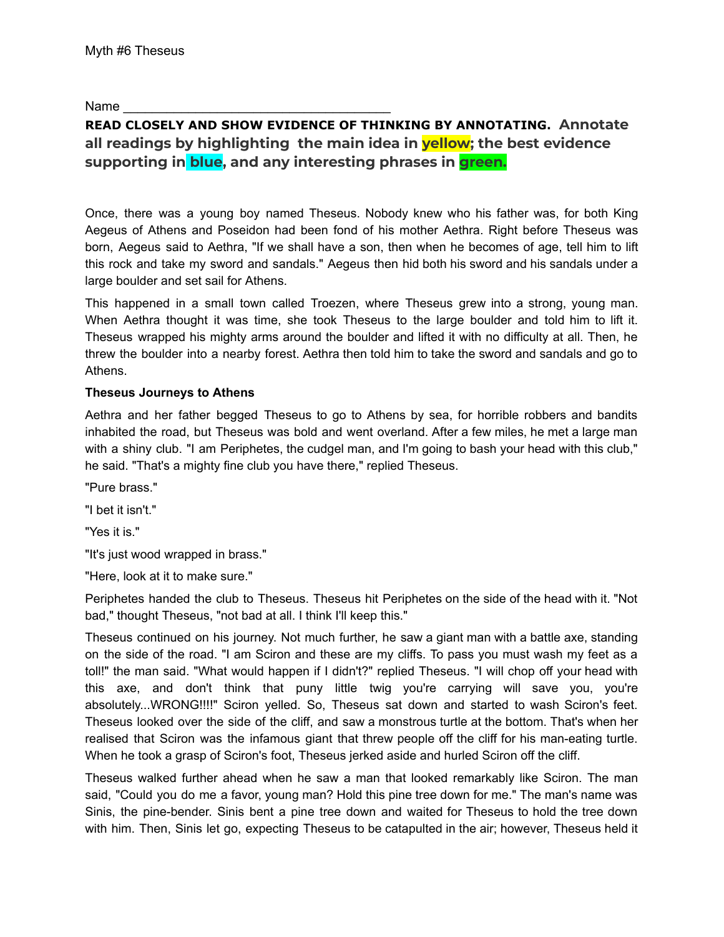Name

# **READ CLOSELY AND SHOW EVIDENCE OF THINKING BY ANNOTATING. Annotate all readings by highlighting the main idea in yellow; the best evidence supporting in blue, and any interesting phrases in green.**

Once, there was a young boy named [Theseus.](https://www.greekmythology.com/Myths/Heroes/Theseus/theseus.html) Nobody knew who his father was, for both King [Aegeus](https://www.greekmythology.com/Myths/Mortals/Aegeus/aegeus.html) of [Athens](https://www.greekmythology.com/Myths/Places/Athens/athens.html) and [Poseidon](https://www.greekmythology.com/Olympians/Poseidon/poseidon.html) had been fond of his mother [Aethra](https://www.greekmythology.com/Myths/Figures/Aethra/aethra.html). Right before [Theseus](https://www.greekmythology.com/Myths/Heroes/Theseus/theseus.html) was born, [Aegeus](https://www.greekmythology.com/Myths/Mortals/Aegeus/aegeus.html) said to [Aethra,](https://www.greekmythology.com/Myths/Figures/Aethra/aethra.html) "If we shall have a son, then when he becomes of age, tell him to lift this rock and take my sword and sandals." [Aegeus](https://www.greekmythology.com/Myths/Mortals/Aegeus/aegeus.html) then hid both his sword and his sandals under a large boulder and set sail for [Athens](https://www.greekmythology.com/Myths/Places/Athens/athens.html).

This happened in a small town called [Troezen,](https://www.greekmythology.com/Myths/Mortals/Troezen/troezen.html) where [Theseus](https://www.greekmythology.com/Myths/Heroes/Theseus/theseus.html) grew into a strong, young man. When [Aethra](https://www.greekmythology.com/Myths/Figures/Aethra/aethra.html) thought it was time, she took [Theseus](https://www.greekmythology.com/Myths/Heroes/Theseus/theseus.html) to the large boulder and told him to lift it. [Theseus](https://www.greekmythology.com/Myths/Heroes/Theseus/theseus.html) wrapped his mighty arms around the boulder and lifted it with no difficulty at all. Then, he threw the boulder into a nearby forest. [Aethra](https://www.greekmythology.com/Myths/Figures/Aethra/aethra.html) then told him to take the sword and sandals and go to [Athens.](https://www.greekmythology.com/Myths/Places/Athens/athens.html)

### **[Theseus](https://www.greekmythology.com/Myths/Heroes/Theseus/theseus.html) Journeys to [Athens](https://www.greekmythology.com/Myths/Places/Athens/athens.html)**

[Aethra](https://www.greekmythology.com/Myths/Figures/Aethra/aethra.html) and her father begged [Theseus](https://www.greekmythology.com/Myths/Heroes/Theseus/theseus.html) to go to [Athens](https://www.greekmythology.com/Myths/Places/Athens/athens.html) by sea, for horrible robbers and bandits inhabited the road, but [Theseus](https://www.greekmythology.com/Myths/Heroes/Theseus/theseus.html) was bold and went overland. After a few miles, he met a large man with a shiny club. "I am Periphetes, the cudgel man, and I'm going to bash your head with this club," he said. "That's a mighty fine club you have there," replied [Theseus.](https://www.greekmythology.com/Myths/Heroes/Theseus/theseus.html)

"Pure brass."

"I bet it isn't."

"Yes it is."

"It's just wood wrapped in brass."

"Here, look at it to make sure."

Periphetes handed the club to [Theseus](https://www.greekmythology.com/Myths/Heroes/Theseus/theseus.html). [Theseus](https://www.greekmythology.com/Myths/Heroes/Theseus/theseus.html) hit Periphetes on the side of the head with it. "Not bad," thought [Theseus](https://www.greekmythology.com/Myths/Heroes/Theseus/theseus.html), "not bad at all. I think I'll keep this."

[Theseus](https://www.greekmythology.com/Myths/Heroes/Theseus/theseus.html) continued on his journey. Not much further, he saw a giant man with a battle axe, standing on the side of the road. "I am Sciron and these are my cliffs. To pass you must wash my feet as a toll!" the man said. "What would happen if I didn't?" replied [Theseus.](https://www.greekmythology.com/Myths/Heroes/Theseus/theseus.html) "I will chop off your head with this axe, and don't think that puny little twig you're carrying will save you, you're absolutely...WRONG!!!!" Sciron yelled. So, [Theseus](https://www.greekmythology.com/Myths/Heroes/Theseus/theseus.html) sat down and started to wash Sciron's feet. [Theseus](https://www.greekmythology.com/Myths/Heroes/Theseus/theseus.html) looked over the side of the cliff, and saw a monstrous turtle at the bottom. That's when her realised that Sciron was the infamous giant that threw people off the cliff for his man-eating turtle. When he took a grasp of Sciron's foot, [Theseus](https://www.greekmythology.com/Myths/Heroes/Theseus/theseus.html) jerked aside and hurled Sciron off the cliff.

[Theseus](https://www.greekmythology.com/Myths/Heroes/Theseus/theseus.html) walked further ahead when he saw a man that looked remarkably like Sciron. The man said, "Could you do me a favor, young man? Hold this pine tree down for me." The man's name was Sinis, the pine-bender. Sinis bent a pine tree down and waited for [Theseus](https://www.greekmythology.com/Myths/Heroes/Theseus/theseus.html) to hold the tree down with him. Then, Sinis let go, expecting [Theseus](https://www.greekmythology.com/Myths/Heroes/Theseus/theseus.html) to be catapulted in the air; however, [Theseus](https://www.greekmythology.com/Myths/Heroes/Theseus/theseus.html) held it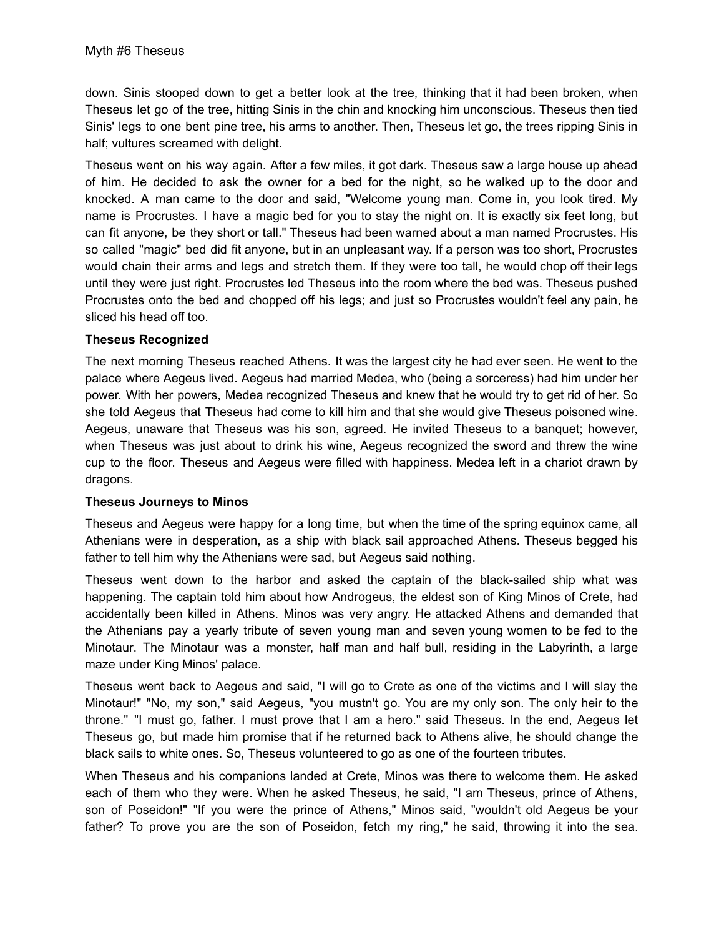down. Sinis stooped down to get a better look at the tree, thinking that it had been broken, when [Theseus](https://www.greekmythology.com/Myths/Heroes/Theseus/theseus.html) let go of the tree, hitting Sinis in the chin and knocking him unconscious. [Theseus](https://www.greekmythology.com/Myths/Heroes/Theseus/theseus.html) then tied Sinis' legs to one bent pine tree, his arms to another. Then, [Theseus](https://www.greekmythology.com/Myths/Heroes/Theseus/theseus.html) let go, the trees ripping Sinis in half; vultures screamed with delight.

[Theseus](https://www.greekmythology.com/Myths/Heroes/Theseus/theseus.html) went on his way again. After a few miles, it got dark. [Theseus](https://www.greekmythology.com/Myths/Heroes/Theseus/theseus.html) saw a large house up ahead of him. He decided to ask the owner for a bed for the night, so he walked up to the door and knocked. A man came to the door and said, "Welcome young man. Come in, you look tired. My name is Procrustes. I have a magic bed for you to stay the night on. It is exactly six feet long, but can fit anyone, be they short or tall." [Theseus](https://www.greekmythology.com/Myths/Heroes/Theseus/theseus.html) had been warned about a man named Procrustes. His so called "magic" bed did fit anyone, but in an unpleasant way. If a person was too short, Procrustes would chain their arms and legs and stretch them. If they were too tall, he would chop off their legs until they were just right. Procrustes led [Theseus](https://www.greekmythology.com/Myths/Heroes/Theseus/theseus.html) into the room where the bed was. [Theseus](https://www.greekmythology.com/Myths/Heroes/Theseus/theseus.html) pushed Procrustes onto the bed and chopped off his legs; and just so Procrustes wouldn't feel any pain, he sliced his head off too.

#### **[Theseus](https://www.greekmythology.com/Myths/Heroes/Theseus/theseus.html) Recognized**

The next morning [Theseus](https://www.greekmythology.com/Myths/Heroes/Theseus/theseus.html) reached [Athens](https://www.greekmythology.com/Myths/Places/Athens/athens.html). It was the largest city he had ever seen. He went to the palace where [Aegeus](https://www.greekmythology.com/Myths/Mortals/Aegeus/aegeus.html) lived. [Aegeus](https://www.greekmythology.com/Myths/Mortals/Aegeus/aegeus.html) had married [Medea,](https://www.greekmythology.com/Myths/Mortals/Medea/medea.html) who (being a sorceress) had him under her power. With her powers, [Medea](https://www.greekmythology.com/Myths/Mortals/Medea/medea.html) recognized [Theseus](https://www.greekmythology.com/Myths/Heroes/Theseus/theseus.html) and knew that he would try to get rid of her. So she told [Aegeus](https://www.greekmythology.com/Myths/Mortals/Aegeus/aegeus.html) that [Theseus](https://www.greekmythology.com/Myths/Heroes/Theseus/theseus.html) had come to kill him and that she would give [Theseus](https://www.greekmythology.com/Myths/Heroes/Theseus/theseus.html) poisoned wine. [Aegeus,](https://www.greekmythology.com/Myths/Mortals/Aegeus/aegeus.html) unaware that [Theseus](https://www.greekmythology.com/Myths/Heroes/Theseus/theseus.html) was his son, agreed. He invited [Theseus](https://www.greekmythology.com/Myths/Heroes/Theseus/theseus.html) to a banquet; however, when [Theseus](https://www.greekmythology.com/Myths/Heroes/Theseus/theseus.html) was just about to drink his wine, [Aegeus](https://www.greekmythology.com/Myths/Mortals/Aegeus/aegeus.html) recognized the sword and threw the wine cup to the floor. [Theseus](https://www.greekmythology.com/Myths/Heroes/Theseus/theseus.html) and [Aegeus](https://www.greekmythology.com/Myths/Mortals/Aegeus/aegeus.html) were filled with happiness. [Medea](https://www.greekmythology.com/Myths/Mortals/Medea/medea.html) left in a chariot drawn by dragons.

### **[Theseus](https://www.greekmythology.com/Myths/Heroes/Theseus/theseus.html) Journeys to [Minos](https://www.greekmythology.com/Myths/Figures/Minos/minos.html)**

[Theseus](https://www.greekmythology.com/Myths/Heroes/Theseus/theseus.html) and [Aegeus](https://www.greekmythology.com/Myths/Mortals/Aegeus/aegeus.html) were happy for a long time, but when the time of the spring equinox came, all Athenians were in desperation, as a ship with black sail approached [Athens](https://www.greekmythology.com/Myths/Places/Athens/athens.html). [Theseus](https://www.greekmythology.com/Myths/Heroes/Theseus/theseus.html) begged his father to tell him why the Athenians were sad, but [Aegeus](https://www.greekmythology.com/Myths/Mortals/Aegeus/aegeus.html) said nothing.

[Theseus](https://www.greekmythology.com/Myths/Heroes/Theseus/theseus.html) went down to the harbor and asked the captain of the black-sailed ship what was happening. The captain told him about how Androgeus, the eldest son of King [Minos](https://www.greekmythology.com/Myths/Figures/Minos/minos.html) of [Crete,](https://www.greekmythology.com/Myths/Places/Crete/crete.html) had accidentally been killed in [Athens.](https://www.greekmythology.com/Myths/Places/Athens/athens.html) [Minos](https://www.greekmythology.com/Myths/Figures/Minos/minos.html) was very angry. He attacked [Athens](https://www.greekmythology.com/Myths/Places/Athens/athens.html) and demanded that the Athenians pay a yearly tribute of seven young man and seven young women to be fed to the [Minotaur.](https://www.greekmythology.com/Myths/Monsters/Minotaur/minotaur.html) The [Minotaur](https://www.greekmythology.com/Myths/Monsters/Minotaur/minotaur.html) was a monster, half man and half bull, residing in the Labyrinth, a large maze under King [Minos](https://www.greekmythology.com/Myths/Figures/Minos/minos.html)' palace.

[Theseus](https://www.greekmythology.com/Myths/Heroes/Theseus/theseus.html) went back to [Aegeus](https://www.greekmythology.com/Myths/Mortals/Aegeus/aegeus.html) and said, "I will go to [Crete](https://www.greekmythology.com/Myths/Places/Crete/crete.html) as one of the victims and I will slay the [Minotaur!](https://www.greekmythology.com/Myths/Monsters/Minotaur/minotaur.html)" "No, my son," said [Aegeus](https://www.greekmythology.com/Myths/Mortals/Aegeus/aegeus.html), "you mustn't go. You are my only son. The only heir to the throne." "I must go, father. I must prove that I am a [hero](https://www.greekmythology.com/Myths/Mortals/Hero/hero.html)." said [Theseus](https://www.greekmythology.com/Myths/Heroes/Theseus/theseus.html). In the end, [Aegeus](https://www.greekmythology.com/Myths/Mortals/Aegeus/aegeus.html) let [Theseus](https://www.greekmythology.com/Myths/Heroes/Theseus/theseus.html) go, but made him promise that if he returned back to [Athens](https://www.greekmythology.com/Myths/Places/Athens/athens.html) alive, he should change the black sails to white ones. So, [Theseus](https://www.greekmythology.com/Myths/Heroes/Theseus/theseus.html) volunteered to go as one of the fourteen tributes.

When [Theseus](https://www.greekmythology.com/Myths/Heroes/Theseus/theseus.html) and his companions landed at [Crete,](https://www.greekmythology.com/Myths/Places/Crete/crete.html) [Minos](https://www.greekmythology.com/Myths/Figures/Minos/minos.html) was there to welcome them. He asked each of them who they were. When he asked [Theseus,](https://www.greekmythology.com/Myths/Heroes/Theseus/theseus.html) he said, "I am [Theseus](https://www.greekmythology.com/Myths/Heroes/Theseus/theseus.html), prince of [Athens](https://www.greekmythology.com/Myths/Places/Athens/athens.html), son of [Poseidon!](https://www.greekmythology.com/Olympians/Poseidon/poseidon.html)" "If you were the prince of [Athens,](https://www.greekmythology.com/Myths/Places/Athens/athens.html)" [Minos](https://www.greekmythology.com/Myths/Figures/Minos/minos.html) said, "wouldn't old [Aegeus](https://www.greekmythology.com/Myths/Mortals/Aegeus/aegeus.html) be your father? To prove you are the son of [Poseidon,](https://www.greekmythology.com/Olympians/Poseidon/poseidon.html) fetch my ring," he said, throwing it into the sea.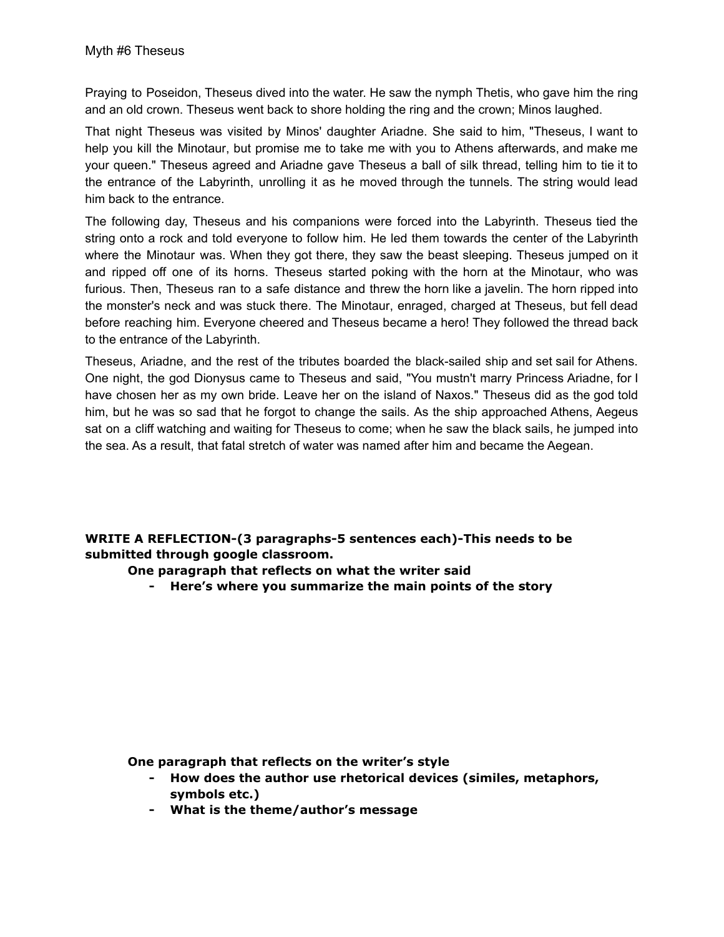Praying to [Poseidon](https://www.greekmythology.com/Olympians/Poseidon/poseidon.html), [Theseus](https://www.greekmythology.com/Myths/Heroes/Theseus/theseus.html) dived into the water. He saw the nymph [Thetis](https://www.greekmythology.com/Other_Gods/Minor_Gods/Thetis/thetis.html), who gave him the ring and an old crown. [Theseus](https://www.greekmythology.com/Myths/Heroes/Theseus/theseus.html) went back to shore holding the ring and the crown; [Minos](https://www.greekmythology.com/Myths/Figures/Minos/minos.html) laughed.

That night [Theseus](https://www.greekmythology.com/Myths/Heroes/Theseus/theseus.html) was visited by [Minos](https://www.greekmythology.com/Myths/Figures/Minos/minos.html)' daughter [Ariadne.](https://www.greekmythology.com/Myths/Mortals/Ariadne/ariadne.html) She said to him, "[Theseus,](https://www.greekmythology.com/Myths/Heroes/Theseus/theseus.html) I want to help you kill the [Minotaur](https://www.greekmythology.com/Myths/Monsters/Minotaur/minotaur.html), but promise me to take me with you to [Athens](https://www.greekmythology.com/Myths/Places/Athens/athens.html) afterwards, and make me your queen." [Theseus](https://www.greekmythology.com/Myths/Heroes/Theseus/theseus.html) agreed and [Ariadne](https://www.greekmythology.com/Myths/Mortals/Ariadne/ariadne.html) gave [Theseus](https://www.greekmythology.com/Myths/Heroes/Theseus/theseus.html) a ball of silk thread, telling him to tie it to the entrance of the Labyrinth, unrolling it as he moved through the tunnels. The string would lead him back to the entrance.

The following day, [Theseus](https://www.greekmythology.com/Myths/Heroes/Theseus/theseus.html) and his companions were forced into the Labyrinth. [Theseus](https://www.greekmythology.com/Myths/Heroes/Theseus/theseus.html) tied the string onto a rock and told everyone to follow him. He led them towards the center of the Labyrinth where the [Minotaur](https://www.greekmythology.com/Myths/Monsters/Minotaur/minotaur.html) was. When they got there, they saw the beast sleeping. [Theseus](https://www.greekmythology.com/Myths/Heroes/Theseus/theseus.html) jumped on it and ripped off one of its horns. [Theseus](https://www.greekmythology.com/Myths/Heroes/Theseus/theseus.html) started poking with the horn at the [Minotaur](https://www.greekmythology.com/Myths/Monsters/Minotaur/minotaur.html), who was furious. Then, [Theseus](https://www.greekmythology.com/Myths/Heroes/Theseus/theseus.html) ran to a safe distance and threw the horn like a javelin. The horn ripped into the [monster's](https://www.greekmythology.com/Myths/Monsters/monsters.html) neck and was stuck there. The [Minotaur,](https://www.greekmythology.com/Myths/Monsters/Minotaur/minotaur.html) enraged, charged at [Theseus,](https://www.greekmythology.com/Myths/Heroes/Theseus/theseus.html) but fell dead before reaching him. Everyone cheered and [Theseus](https://www.greekmythology.com/Myths/Heroes/Theseus/theseus.html) became a [hero!](https://www.greekmythology.com/Myths/Mortals/Hero/hero.html) They followed the thread back to the entrance of the Labyrinth.

[Theseus](https://www.greekmythology.com/Myths/Heroes/Theseus/theseus.html), [Ariadne](https://www.greekmythology.com/Myths/Mortals/Ariadne/ariadne.html), and the rest of the tributes boarded the black-sailed ship and set sail for [Athens.](https://www.greekmythology.com/Myths/Places/Athens/athens.html) One night, the god [Dionysus](https://www.greekmythology.com/Other_Gods/Dionysus/dionysus.html) came to [Theseus](https://www.greekmythology.com/Myths/Heroes/Theseus/theseus.html) and said, "You mustn't marry Princess [Ariadne](https://www.greekmythology.com/Myths/Mortals/Ariadne/ariadne.html), for I have chosen her as my own bride. Leave her on the island of Naxos." [Theseus](https://www.greekmythology.com/Myths/Heroes/Theseus/theseus.html) did as the god told him, but he was so sad that he forgot to change the sails. As the ship approached [Athens](https://www.greekmythology.com/Myths/Places/Athens/athens.html), [Aegeus](https://www.greekmythology.com/Myths/Mortals/Aegeus/aegeus.html) sat on a cliff watching and waiting for [Theseus](https://www.greekmythology.com/Myths/Heroes/Theseus/theseus.html) to come; when he saw the black sails, he jumped into the sea. As a result, that fatal stretch of water was named after him and became the Aegean.

## **WRITE A REFLECTION-(3 paragraphs-5 sentences each)-This needs to be submitted through google classroom.**

**One paragraph that reflects on what the writer said**

**- Here's where you summarize the main points of the story**

**One paragraph that reflects on the writer's style**

- **- How does the author use rhetorical devices (similes, metaphors, symbols etc.)**
- **- What is the theme/author's message**